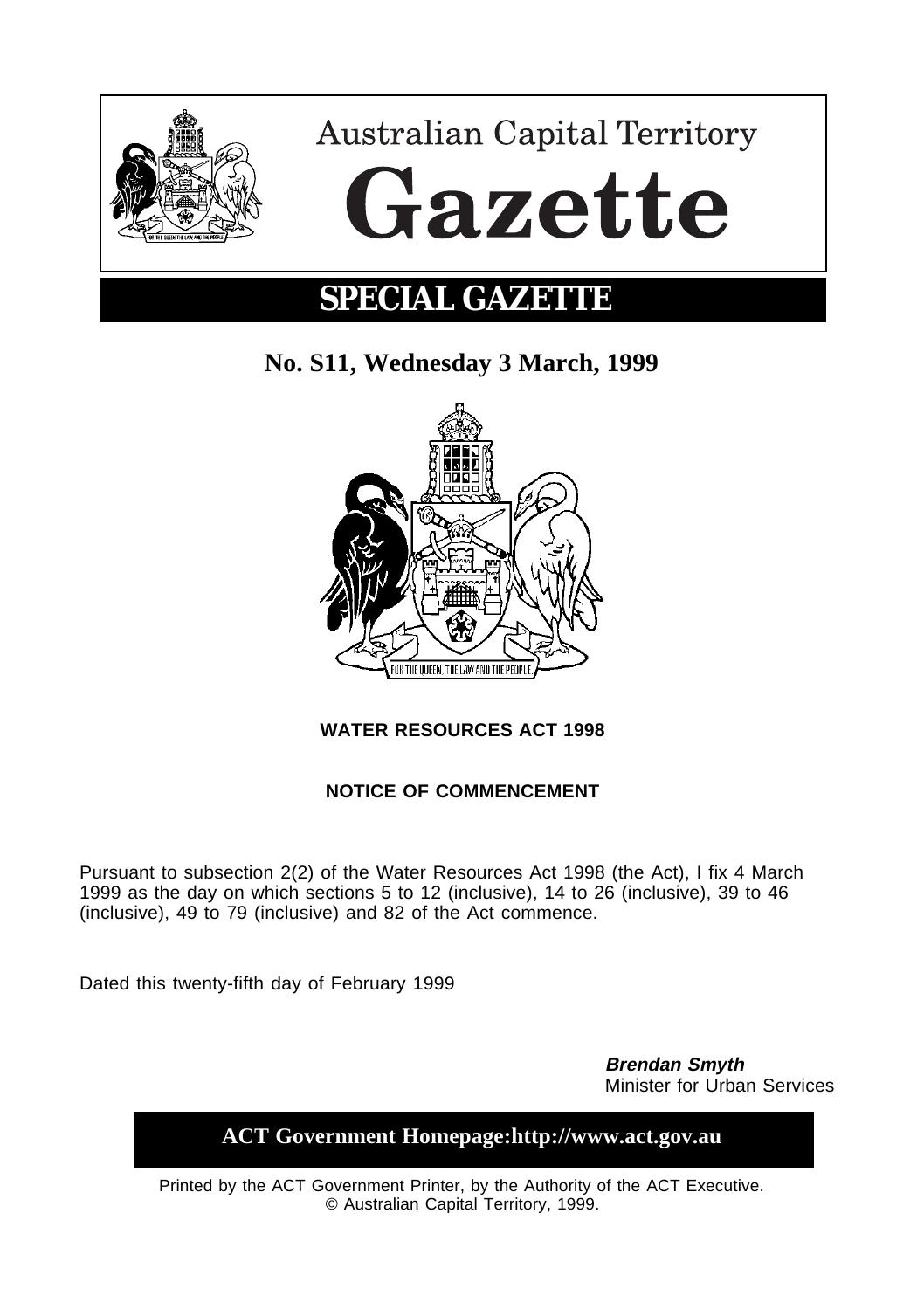

# **SPECIAL GAZETTE**

## **No. S11, Wednesday 3 March, 1999**



## **WATER RESOURCES ACT 1998**

## **NOTICE OF COMMENCEMENT**

Pursuant to subsection 2(2) of the Water Resources Act 1998 (the Act), I fix 4 March 1999 as the day on which sections 5 to 12 (inclusive), 14 to 26 (inclusive), 39 to 46 (inclusive), 49 to 79 (inclusive) and 82 of the Act commence.

Dated this twenty-fifth day of February 1999

**Brendan Smyth** Minister for Urban Services

**ACT Government Homepage:http://www.act.gov.au**

Printed by the ACT Government Printer, by the Authority of the ACT Executive. © Australian Capital Territory, 1999.